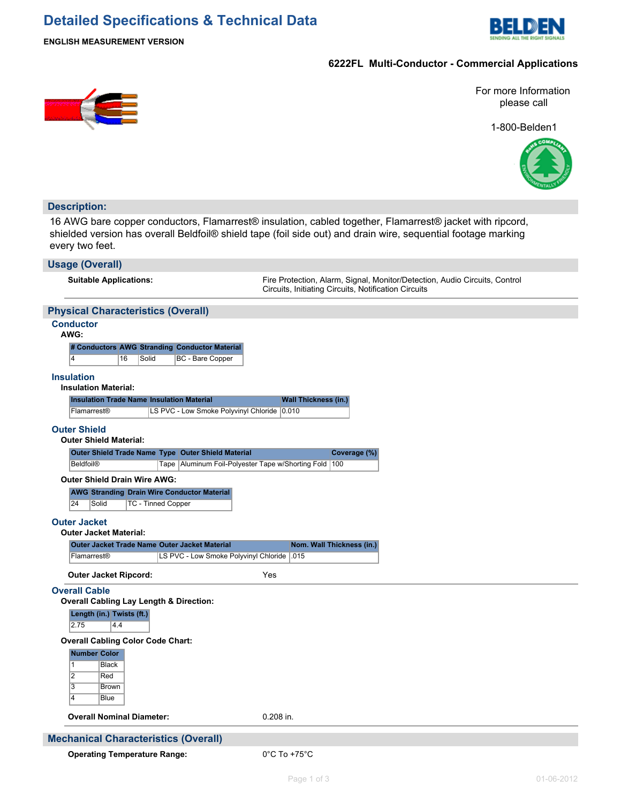## **Detailed Specifications & Technical Data**



**ENGLISH MEASUREMENT VERSION**

#### **6222FL Multi-Conductor - Commercial Applications**



For more Information please call

1-800-Belden1



# **Description:**

16 AWG bare copper conductors, Flamarrest® insulation, cabled together, Flamarrest® jacket with ripcord, shielded version has overall Beldfoil® shield tape (foil side out) and drain wire, sequential footage marking every two feet.

| <b>Usage (Overall)</b>                                                                                                                |                                                                                                                                    |  |  |  |  |
|---------------------------------------------------------------------------------------------------------------------------------------|------------------------------------------------------------------------------------------------------------------------------------|--|--|--|--|
| <b>Suitable Applications:</b>                                                                                                         | Fire Protection, Alarm, Signal, Monitor/Detection, Audio Circuits, Control<br>Circuits, Initiating Circuits, Notification Circuits |  |  |  |  |
| <b>Physical Characteristics (Overall)</b>                                                                                             |                                                                                                                                    |  |  |  |  |
| <b>Conductor</b><br>AWG:                                                                                                              |                                                                                                                                    |  |  |  |  |
| # Conductors AWG Stranding Conductor Material<br>16<br>$\overline{4}$<br>Solid<br>BC - Bare Copper                                    |                                                                                                                                    |  |  |  |  |
| <b>Insulation</b><br><b>Insulation Material:</b>                                                                                      |                                                                                                                                    |  |  |  |  |
| <b>Insulation Trade Name Insulation Material</b><br>LS PVC - Low Smoke Polyvinyl Chloride 0.010<br>Flamarrest <sup>®</sup>            | <b>Wall Thickness (in.)</b>                                                                                                        |  |  |  |  |
| <b>Outer Shield</b><br><b>Outer Shield Material:</b>                                                                                  |                                                                                                                                    |  |  |  |  |
| Outer Shield Trade Name Type Outer Shield Material<br><b>Beldfoil®</b>                                                                | Coverage (%)<br>Tape   Aluminum Foil-Polyester Tape w/Shorting Fold   100                                                          |  |  |  |  |
| <b>Outer Shield Drain Wire AWG:</b><br><b>AWG Stranding Drain Wire Conductor Material</b><br>24<br><b>TC - Tinned Copper</b><br>Solid |                                                                                                                                    |  |  |  |  |
| <b>Outer Jacket</b><br><b>Outer Jacket Material:</b>                                                                                  |                                                                                                                                    |  |  |  |  |
| <b>Outer Jacket Trade Name Outer Jacket Material</b><br>LS PVC - Low Smoke Polyvinyl Chloride   015<br>Flamarrest <sup>®</sup>        | Nom. Wall Thickness (in.)                                                                                                          |  |  |  |  |
|                                                                                                                                       |                                                                                                                                    |  |  |  |  |
| <b>Outer Jacket Ripcord:</b><br><b>Overall Cable</b><br><b>Overall Cabling Lay Length &amp; Direction:</b>                            | Yes                                                                                                                                |  |  |  |  |
| Length (in.) Twists (ft.)<br>2.75<br>4.4                                                                                              |                                                                                                                                    |  |  |  |  |
| <b>Overall Cabling Color Code Chart:</b>                                                                                              |                                                                                                                                    |  |  |  |  |
| <b>Number Color</b><br>$\mathbf{1}$<br><b>Black</b><br>$\overline{2}$<br>Red<br>$\overline{3}$<br><b>Brown</b><br>4<br><b>Blue</b>    |                                                                                                                                    |  |  |  |  |
| <b>Overall Nominal Diameter:</b>                                                                                                      | 0.208 in.                                                                                                                          |  |  |  |  |
| <b>Mechanical Characteristics (Overall)</b>                                                                                           |                                                                                                                                    |  |  |  |  |
| <b>Operating Temperature Range:</b>                                                                                                   | $0^{\circ}$ C To +75 $^{\circ}$ C                                                                                                  |  |  |  |  |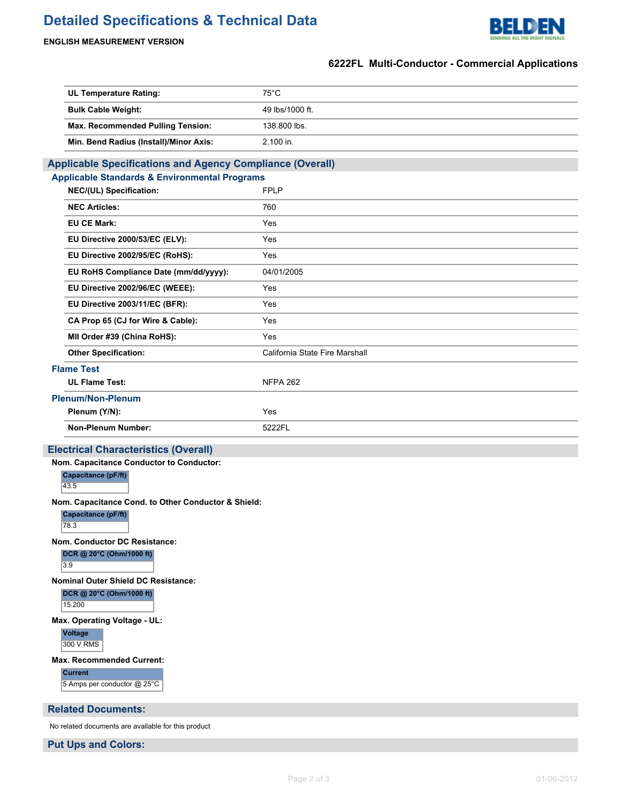# **Detailed Specifications & Technical Data**



#### **ENGLISH MEASUREMENT VERSION**

#### **6222FL Multi-Conductor - Commercial Applications**

| <b>UL Temperature Rating:</b>                                    | $75^{\circ}$ C                 |  |  |  |  |
|------------------------------------------------------------------|--------------------------------|--|--|--|--|
| <b>Bulk Cable Weight:</b>                                        | 49 lbs/1000 ft.                |  |  |  |  |
| Max. Recommended Pulling Tension:                                | 138.800 lbs.                   |  |  |  |  |
| Min. Bend Radius (Install)/Minor Axis:                           | 2.100 in.                      |  |  |  |  |
| <b>Applicable Specifications and Agency Compliance (Overall)</b> |                                |  |  |  |  |
| <b>Applicable Standards &amp; Environmental Programs</b>         |                                |  |  |  |  |
| NEC/(UL) Specification:                                          | <b>FPLP</b>                    |  |  |  |  |
| <b>NEC Articles:</b>                                             | 760                            |  |  |  |  |
| <b>EU CE Mark:</b>                                               | Yes                            |  |  |  |  |
| EU Directive 2000/53/EC (ELV):                                   | Yes                            |  |  |  |  |
| EU Directive 2002/95/EC (RoHS):                                  | Yes                            |  |  |  |  |
| EU RoHS Compliance Date (mm/dd/yyyy):                            | 04/01/2005                     |  |  |  |  |
| EU Directive 2002/96/EC (WEEE):                                  | Yes                            |  |  |  |  |
| EU Directive 2003/11/EC (BFR):                                   | Yes                            |  |  |  |  |
| CA Prop 65 (CJ for Wire & Cable):                                | Yes                            |  |  |  |  |
| MII Order #39 (China RoHS):                                      | Yes                            |  |  |  |  |
| <b>Other Specification:</b>                                      | California State Fire Marshall |  |  |  |  |
| <b>Flame Test</b>                                                |                                |  |  |  |  |
| <b>UL Flame Test:</b>                                            | <b>NFPA 262</b>                |  |  |  |  |
| <b>Plenum/Non-Plenum</b>                                         |                                |  |  |  |  |
| Plenum (Y/N):                                                    | Yes                            |  |  |  |  |
| <b>Non-Plenum Number:</b>                                        | 5222FL                         |  |  |  |  |
| <b>Electrical Characteristics (Overall)</b>                      |                                |  |  |  |  |
| Nom. Capacitance Conductor to Conductor:                         |                                |  |  |  |  |
| Capacitance (pF/ft)<br>43.5                                      |                                |  |  |  |  |
| Nom. Capacitance Cond. to Other Conductor & Shield:              |                                |  |  |  |  |
| Capacitance (pF/ft)<br>78.3                                      |                                |  |  |  |  |
| Nom. Conductor DC Resistance:                                    |                                |  |  |  |  |
| DCR @ 20°C (Ohm/1000 ft)<br>3.9                                  |                                |  |  |  |  |
| <b>Nominal Outer Shield DC Resistance:</b>                       |                                |  |  |  |  |
| DCR @ 20°C (Ohm/1000 ft)<br>15.200                               |                                |  |  |  |  |
| Max. Operating Voltage - UL:                                     |                                |  |  |  |  |
|                                                                  |                                |  |  |  |  |
| <b>Voltage</b><br>300 V RMS                                      |                                |  |  |  |  |
| <b>Max. Recommended Current:</b>                                 |                                |  |  |  |  |
| <b>Current</b><br>5 Amps per conductor @ 25°C                    |                                |  |  |  |  |
| <b>Related Documents:</b>                                        |                                |  |  |  |  |

**Put Ups and Colors:**